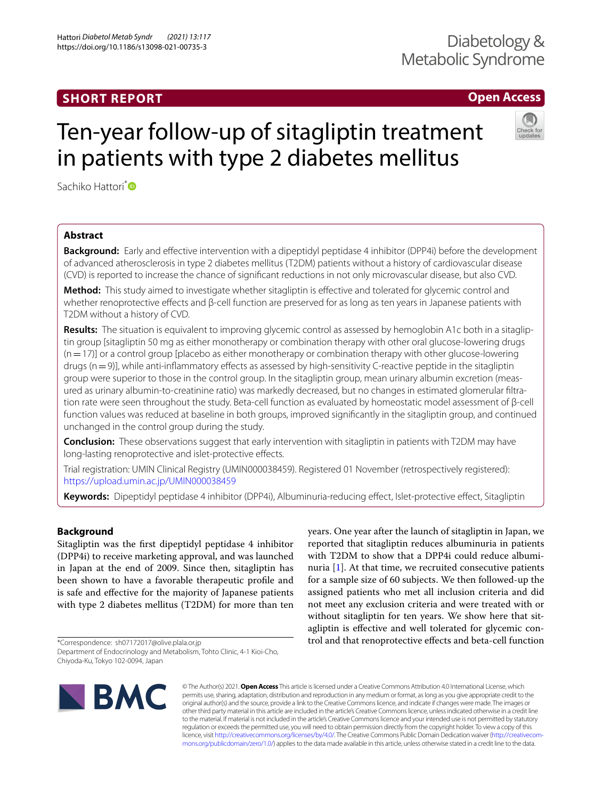# **SHORT REPORT**

# **Open Access**

# Ten-year follow-up of sitagliptin treatment in patients with type 2 diabetes mellitus



Sachiko Hattori<sup>[\\*](http://orcid.org/0000-0002-4580-4382)</sup><sup>O</sup>

# **Abstract**

**Background:** Early and efective intervention with a dipeptidyl peptidase 4 inhibitor (DPP4i) before the development of advanced atherosclerosis in type 2 diabetes mellitus (T2DM) patients without a history of cardiovascular disease (CVD) is reported to increase the chance of signifcant reductions in not only microvascular disease, but also CVD.

**Method:** This study aimed to investigate whether sitagliptin is efective and tolerated for glycemic control and whether renoprotective effects and β-cell function are preserved for as long as ten years in Japanese patients with T2DM without a history of CVD.

**Results:** The situation is equivalent to improving glycemic control as assessed by hemoglobin A1c both in a sitagliptin group [sitagliptin 50 mg as either monotherapy or combination therapy with other oral glucose-lowering drugs  $(n=17)$ ] or a control group [placebo as either monotherapy or combination therapy with other glucose-lowering drugs (n = 9)], while anti-inflammatory effects as assessed by high-sensitivity C-reactive peptide in the sitagliptin group were superior to those in the control group. In the sitagliptin group, mean urinary albumin excretion (measured as urinary albumin-to-creatinine ratio) was markedly decreased, but no changes in estimated glomerular fltration rate were seen throughout the study. Beta-cell function as evaluated by homeostatic model assessment of β-cell function values was reduced at baseline in both groups, improved signifcantly in the sitagliptin group, and continued unchanged in the control group during the study.

**Conclusion:** These observations suggest that early intervention with sitagliptin in patients with T2DM may have long-lasting renoprotective and islet-protective effects.

Trial registration: UMIN Clinical Registry (UMIN000038459). Registered 01 November (retrospectively registered): <https://upload.umin.ac.jp/UMIN000038459>

**Keywords:** Dipeptidyl peptidase 4 inhibitor (DPP4i), Albuminuria-reducing efect, Islet-protective efect, Sitagliptin

# **Background**

Sitagliptin was the frst dipeptidyl peptidase 4 inhibitor (DPP4i) to receive marketing approval, and was launched in Japan at the end of 2009. Since then, sitagliptin has been shown to have a favorable therapeutic profle and is safe and efective for the majority of Japanese patients with type 2 diabetes mellitus (T2DM) for more than ten

\*Correspondence: sh07172017@olive.plala.or.jp Department of Endocrinology and Metabolism, Tohto Clinic, 4-1 Kioi-Cho,

Chiyoda-Ku, Tokyo 102-0094, Japan

years. One year after the launch of sitagliptin in Japan, we reported that sitagliptin reduces albuminuria in patients with T2DM to show that a DPP4i could reduce albuminuria [\[1](#page-5-0)]. At that time, we recruited consecutive patients for a sample size of 60 subjects. We then followed-up the assigned patients who met all inclusion criteria and did not meet any exclusion criteria and were treated with or without sitagliptin for ten years. We show here that sitagliptin is efective and well tolerated for glycemic control and that renoprotective efects and beta-cell function



© The Author(s) 2021. **Open Access** This article is licensed under a Creative Commons Attribution 4.0 International License, which permits use, sharing, adaptation, distribution and reproduction in any medium or format, as long as you give appropriate credit to the original author(s) and the source, provide a link to the Creative Commons licence, and indicate if changes were made. The images or other third party material in this article are included in the article's Creative Commons licence, unless indicated otherwise in a credit line to the material. If material is not included in the article's Creative Commons licence and your intended use is not permitted by statutory regulation or exceeds the permitted use, you will need to obtain permission directly from the copyright holder. To view a copy of this licence, visit [http://creativecommons.org/licenses/by/4.0/.](http://creativecommons.org/licenses/by/4.0/) The Creative Commons Public Domain Dedication waiver ([http://creativecom](http://creativecommons.org/publicdomain/zero/1.0/)[mons.org/publicdomain/zero/1.0/\)](http://creativecommons.org/publicdomain/zero/1.0/) applies to the data made available in this article, unless otherwise stated in a credit line to the data.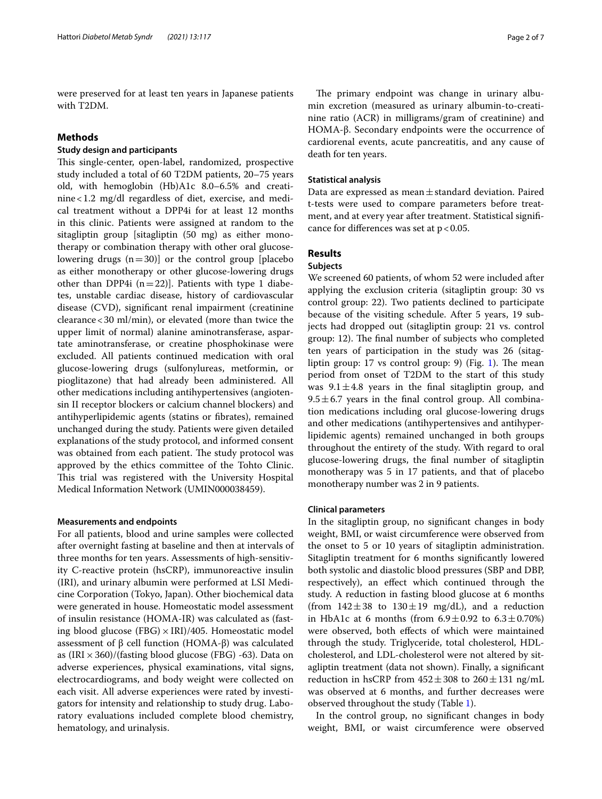were preserved for at least ten years in Japanese patients with T2DM.

# **Methods**

# **Study design and participants**

This single-center, open-label, randomized, prospective study included a total of 60 T2DM patients, 20–75 years old, with hemoglobin (Hb)A1c 8.0–6.5% and creatinine<1.2 mg/dl regardless of diet, exercise, and medical treatment without a DPP4i for at least 12 months in this clinic. Patients were assigned at random to the sitagliptin group [sitagliptin (50 mg) as either monotherapy or combination therapy with other oral glucoselowering drugs  $(n=30)$ ] or the control group [placebo as either monotherapy or other glucose-lowering drugs other than DPP4i  $(n=22)$ ]. Patients with type 1 diabetes, unstable cardiac disease, history of cardiovascular disease (CVD), signifcant renal impairment (creatinine clearance<30 ml/min), or elevated (more than twice the upper limit of normal) alanine aminotransferase, aspartate aminotransferase, or creatine phosphokinase were excluded. All patients continued medication with oral glucose-lowering drugs (sulfonylureas, metformin, or pioglitazone) that had already been administered. All other medications including antihypertensives (angiotensin II receptor blockers or calcium channel blockers) and antihyperlipidemic agents (statins or fbrates), remained unchanged during the study. Patients were given detailed explanations of the study protocol, and informed consent was obtained from each patient. The study protocol was approved by the ethics committee of the Tohto Clinic. This trial was registered with the University Hospital Medical Information Network (UMIN000038459).

# **Measurements and endpoints**

For all patients, blood and urine samples were collected after overnight fasting at baseline and then at intervals of three months for ten years. Assessments of high-sensitivity C-reactive protein (hsCRP), immunoreactive insulin (IRI), and urinary albumin were performed at LSI Medicine Corporation (Tokyo, Japan). Other biochemical data were generated in house. Homeostatic model assessment of insulin resistance (HOMA-IR) was calculated as (fasting blood glucose (FBG)  $\times$  IRI)/405. Homeostatic model assessment of β cell function (HOMA-β) was calculated as  $\left(\text{IRI} \times \text{360} \right) / \left(\text{fasting blood glucose (FBG) -63} \right)$ . Data on adverse experiences, physical examinations, vital signs, electrocardiograms, and body weight were collected on each visit. All adverse experiences were rated by investigators for intensity and relationship to study drug. Laboratory evaluations included complete blood chemistry, hematology, and urinalysis.

The primary endpoint was change in urinary albumin excretion (measured as urinary albumin-to-creatinine ratio (ACR) in milligrams/gram of creatinine) and HOMA-β. Secondary endpoints were the occurrence of cardiorenal events, acute pancreatitis, and any cause of death for ten years.

#### **Statistical analysis**

Data are expressed as mean $\pm$ standard deviation. Paired t-tests were used to compare parameters before treatment, and at every year after treatment. Statistical signifcance for differences was set at  $p < 0.05$ .

# **Results**

# **Subjects**

We screened 60 patients, of whom 52 were included after applying the exclusion criteria (sitagliptin group: 30 vs control group: 22). Two patients declined to participate because of the visiting schedule. After 5 years, 19 subjects had dropped out (sitagliptin group: 21 vs. control group: 12). The final number of subjects who completed ten years of participation in the study was 26 (sitagliptin group:  $17$  vs control group:  $9$ ) (Fig.  $1$ ). The mean period from onset of T2DM to the start of this study was  $9.1 \pm 4.8$  years in the final sitagliptin group, and  $9.5 \pm 6.7$  years in the final control group. All combination medications including oral glucose-lowering drugs and other medications (antihypertensives and antihyperlipidemic agents) remained unchanged in both groups throughout the entirety of the study. With regard to oral glucose-lowering drugs, the fnal number of sitagliptin monotherapy was 5 in 17 patients, and that of placebo monotherapy number was 2 in 9 patients.

### **Clinical parameters**

In the sitagliptin group, no signifcant changes in body weight, BMI, or waist circumference were observed from the onset to 5 or 10 years of sitagliptin administration. Sitagliptin treatment for 6 months signifcantly lowered both systolic and diastolic blood pressures (SBP and DBP, respectively), an efect which continued through the study. A reduction in fasting blood glucose at 6 months (from  $142 \pm 38$  to  $130 \pm 19$  mg/dL), and a reduction in HbA1c at 6 months (from  $6.9 \pm 0.92$  to  $6.3 \pm 0.70\%$ ) were observed, both efects of which were maintained through the study. Triglyceride, total cholesterol, HDLcholesterol, and LDL-cholesterol were not altered by sitagliptin treatment (data not shown). Finally, a signifcant reduction in hsCRP from  $452 \pm 308$  to  $260 \pm 131$  ng/mL was observed at 6 months, and further decreases were observed throughout the study (Table [1\)](#page-2-1).

In the control group, no signifcant changes in body weight, BMI, or waist circumference were observed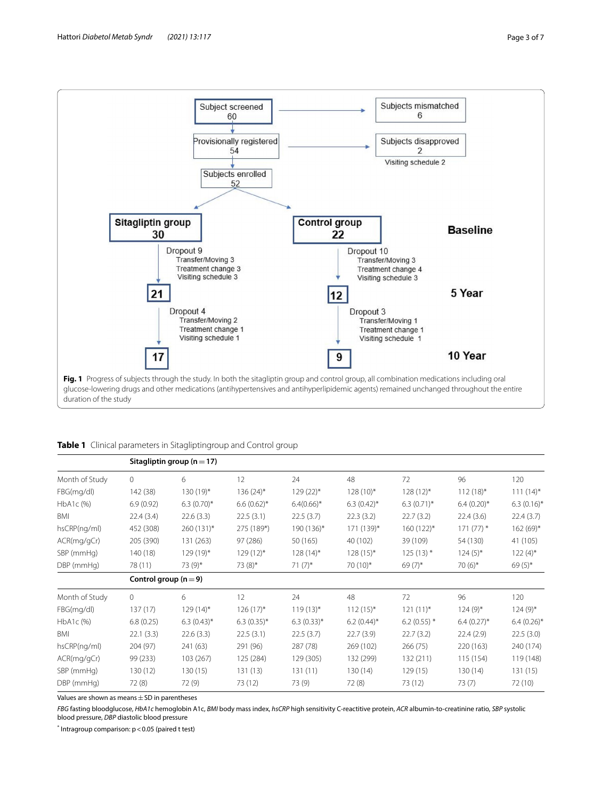

<span id="page-2-1"></span><span id="page-2-0"></span>

|  | Table 1 Clinical parameters in Sitagliptingroup and Control group |  |  |  |  |
|--|-------------------------------------------------------------------|--|--|--|--|
|--|-------------------------------------------------------------------|--|--|--|--|

|                | Sitagliptin group ( $n = 17$ ) |               |               |                 |                 |                |               |               |  |
|----------------|--------------------------------|---------------|---------------|-----------------|-----------------|----------------|---------------|---------------|--|
| Month of Study | $\circ$                        | 6             | 12            | 24              | 48              | 72             | 96            | 120           |  |
| FBG(mg/dl)     | 142 (38)                       | 130 (19)*     | $136(24)$ *   | $129(22)$ *     | $128(10)*$      | $128(12)^{*}$  | $112(18)*$    | $111(14)^{*}$ |  |
| HbA1c (%)      | 6.9(0.92)                      | $6.3(0.70)$ * | $6.6(0.62)$ * | $6.4(0.66)$ *   | $6.3(0.42)^{*}$ | $6.3(0.71)$ *  | $6.4(0.20)$ * | $6.3(0.16)$ * |  |
| BMI            | 22.4(3.4)                      | 22.6(3.3)     | 22.5(3.1)     | 22.5(3.7)       | 22.3(3.2)       | 22.7(3.2)      | 22.4(3.6)     | 22.4(3.7)     |  |
| hsCRP(ng/ml)   | 452 (308)                      | 260 (131)*    | 275 (189*)    | 190 (136)*      | 171 (139)*      | $160(122)*$    | $171(77)$ *   | $162(69)*$    |  |
| ACR(mg/gCr)    | 205 (390)                      | 131 (263)     | 97 (286)      | 50 (165)        | 40 (102)        | 39 (109)       | 54 (130)      | 41 (105)      |  |
| SBP (mmHg)     | 140 (18)                       | $129(19)^{*}$ | $129(12)$ *   | $128(14)^{*}$   | $128(15)^{*}$   | $125(13)$ *    | $124(5)$ *    | $122(4)$ *    |  |
| DBP (mmHg)     | 78 (11)                        | 73 (9)*       | $73(8)$ *     | $71(7)^*$       | 70 (10)*        | $69(7)$ *      | 70 $(6)^*$    | $69(5)$ *     |  |
|                | Control group ( $n = 9$ )      |               |               |                 |                 |                |               |               |  |
| Month of Study | $\Omega$                       | 6             | 12            | 24              | 48              | 72             | 96            | 120           |  |
| FBG(mg/dl)     | 137(17)                        | $129(14)$ *   | $126(17)^{*}$ | $119(13)*$      | $112(15)^{*}$   | $121(11)^*$    | $124(9)$ *    | $124(9)$ *    |  |
| HbA1c (%)      | 6.8(0.25)                      | $6.3(0.43)$ * | $6.3(0.35)$ * | $6.3(0.33)^{*}$ | $6.2(0.44)$ *   | 6.2 (0.55) $*$ | $6.4(0.27)$ * | $6.4(0.26)$ * |  |
| BMI            | 22.1(3.3)                      | 22.6(3.3)     | 22.5(3.1)     | 22.5(3.7)       | 22.7(3.9)       | 22.7(3.2)      | 22.4(2.9)     | 22.5(3.0)     |  |
| hsCRP(ng/ml)   | 204 (97)                       | 241 (63)      | 291 (96)      | 287 (78)        | 269 (102)       | 266 (75)       | 220 (163)     | 240 (174)     |  |
| ACR(mg/gCr)    | 99 (233)                       | 103 (267)     | 125 (284)     | 129 (305)       | 132 (299)       | 132 (211)      | 115 (154)     | 119 (148)     |  |
| SBP (mmHg)     | 130 (12)                       | 130(15)       | 131 (13)      | 131(11)         | 130(14)         | 129(15)        | 130 (14)      | 131 (15)      |  |
| DBP (mmHg)     | 72 (8)                         | 72 (9)        | 73 (12)       | 73 (9)          | 72 (8)          | 73 (12)        | 73 (7)        | 72 (10)       |  |

Values are shown as means  $\pm$  SD in parentheses

*FBG* fasting bloodglucose, *HbA1c* hemoglobin A1c, *BMI* body mass index, *hsCRP* high sensitivity C-reactitive protein, *ACR* albumin-to-creatinine ratio, *SBP* systolic blood pressure, *DBP* diastolic blood pressure

\* Intragroup comparison: p<0.05 (paired t test)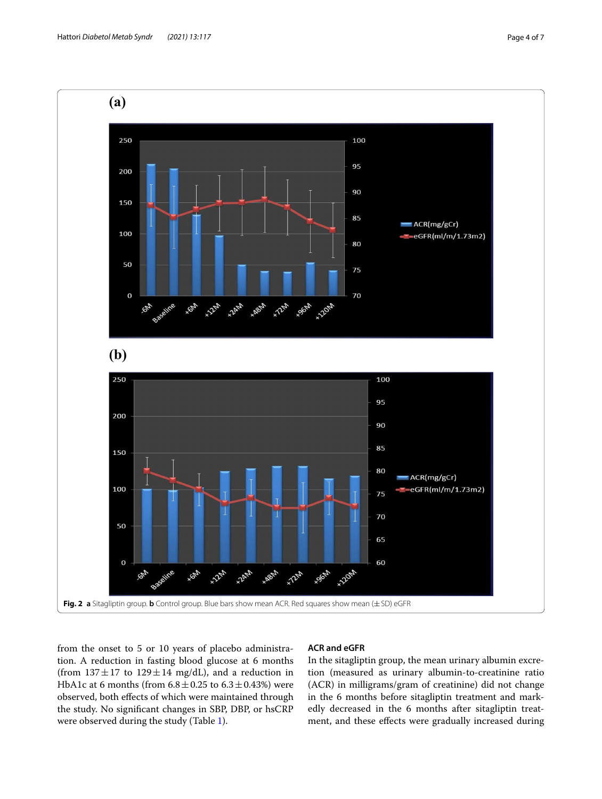

<span id="page-3-0"></span>from the onset to 5 or 10 years of placebo administration. A reduction in fasting blood glucose at 6 months (from  $137 \pm 17$  to  $129 \pm 14$  mg/dL), and a reduction in HbA1c at 6 months (from  $6.8 \pm 0.25$  to  $6.3 \pm 0.43$ %) were observed, both efects of which were maintained through the study. No signifcant changes in SBP, DBP, or hsCRP were observed during the study (Table [1](#page-2-1)).

# **ACR and eGFR**

In the sitagliptin group, the mean urinary albumin excretion (measured as urinary albumin-to-creatinine ratio (ACR) in milligrams/gram of creatinine) did not change in the 6 months before sitagliptin treatment and markedly decreased in the 6 months after sitagliptin treatment, and these efects were gradually increased during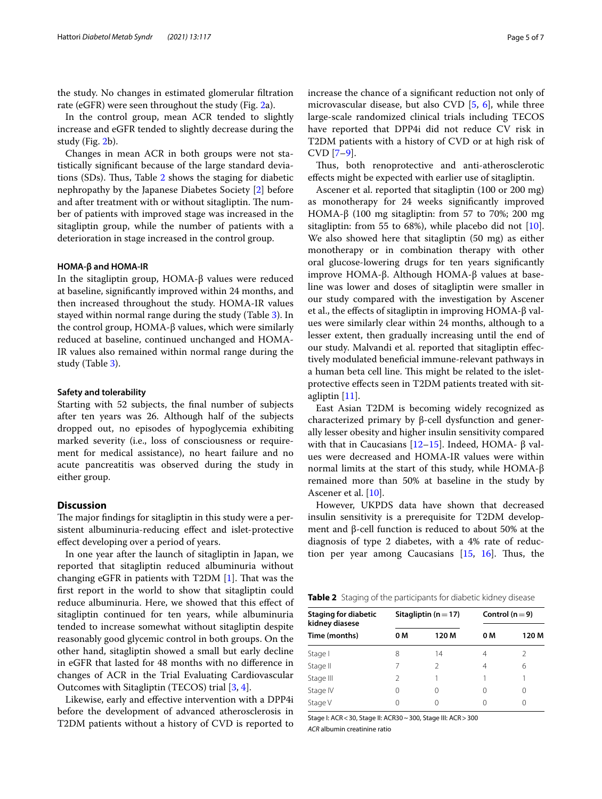the study. No changes in estimated glomerular fltration rate (eGFR) were seen throughout the study (Fig. [2a](#page-3-0)).

In the control group, mean ACR tended to slightly increase and eGFR tended to slightly decrease during the study (Fig. [2](#page-3-0)b).

Changes in mean ACR in both groups were not statistically signifcant because of the large standard deviations (SDs). Thus, Table  $2$  shows the staging for diabetic nephropathy by the Japanese Diabetes Society [[2](#page-6-0)] before and after treatment with or without sitagliptin. The number of patients with improved stage was increased in the sitagliptin group, while the number of patients with a deterioration in stage increased in the control group.

#### **HOMA‑β and HOMA‑IR**

In the sitagliptin group, HOMA-β values were reduced at baseline, signifcantly improved within 24 months, and then increased throughout the study. HOMA-IR values stayed within normal range during the study (Table [3\)](#page-5-1). In the control group, HOMA-β values, which were similarly reduced at baseline, continued unchanged and HOMA-IR values also remained within normal range during the study (Table [3\)](#page-5-1).

#### **Safety and tolerability**

Starting with 52 subjects, the fnal number of subjects after ten years was 26. Although half of the subjects dropped out, no episodes of hypoglycemia exhibiting marked severity (i.e., loss of consciousness or requirement for medical assistance), no heart failure and no acute pancreatitis was observed during the study in either group.

# **Discussion**

The major findings for sitagliptin in this study were a persistent albuminuria-reducing efect and islet-protective efect developing over a period of years.

In one year after the launch of sitagliptin in Japan, we reported that sitagliptin reduced albuminuria without changing eGFR in patients with  $T2DM$  [\[1](#page-5-0)]. That was the frst report in the world to show that sitagliptin could reduce albuminuria. Here, we showed that this efect of sitagliptin continued for ten years, while albuminuria tended to increase somewhat without sitagliptin despite reasonably good glycemic control in both groups. On the other hand, sitagliptin showed a small but early decline in eGFR that lasted for 48 months with no diference in changes of ACR in the Trial Evaluating Cardiovascular Outcomes with Sitagliptin (TECOS) trial [\[3](#page-6-1), [4](#page-6-2)].

Likewise, early and efective intervention with a DPP4i before the development of advanced atherosclerosis in T2DM patients without a history of CVD is reported to increase the chance of a signifcant reduction not only of microvascular disease, but also CVD [[5,](#page-6-3) [6](#page-6-4)], while three large-scale randomized clinical trials including TECOS have reported that DPP4i did not reduce CV risk in T2DM patients with a history of CVD or at high risk of CVD [\[7](#page-6-5)[–9](#page-6-6)].

Thus, both renoprotective and anti-atherosclerotic efects might be expected with earlier use of sitagliptin.

Ascener et al. reported that sitagliptin (100 or 200 mg) as monotherapy for 24 weeks signifcantly improved HOMA-β (100 mg sitagliptin: from 57 to 70%; 200 mg sitagliptin: from 55 to 68%), while placebo did not [\[10](#page-6-7)]. We also showed here that sitagliptin (50 mg) as either monotherapy or in combination therapy with other oral glucose-lowering drugs for ten years signifcantly improve HOMA-β. Although HOMA-β values at baseline was lower and doses of sitagliptin were smaller in our study compared with the investigation by Ascener et al., the efects of sitagliptin in improving HOMA-β values were similarly clear within 24 months, although to a lesser extent, then gradually increasing until the end of our study. Malvandi et al. reported that sitagliptin efectively modulated benefcial immune-relevant pathways in a human beta cell line. This might be related to the isletprotective efects seen in T2DM patients treated with sitagliptin [\[11](#page-6-8)].

East Asian T2DM is becoming widely recognized as characterized primary by β-cell dysfunction and generally lesser obesity and higher insulin sensitivity compared with that in Caucasians  $[12–15]$  $[12–15]$  $[12–15]$  $[12–15]$ . Indeed, HOMA- β values were decreased and HOMA-IR values were within normal limits at the start of this study, while HOMA-β remained more than 50% at baseline in the study by Ascener et al. [\[10](#page-6-7)].

However, UKPDS data have shown that decreased insulin sensitivity is a prerequisite for T2DM development and β-cell function is reduced to about 50% at the diagnosis of type 2 diabetes, with a 4% rate of reduction per year among Caucasians  $[15, 16]$  $[15, 16]$  $[15, 16]$ . Thus, the

<span id="page-4-0"></span>**Table 2** Staging of the participants for diabetic kidney disease

|     |               | Control ( $n = 9$ )      |       |  |
|-----|---------------|--------------------------|-------|--|
| 0 M | 120 M         | 0 M                      | 120 M |  |
| 8   | 14            | 4                        | 2     |  |
| 7   | $\mathcal{D}$ | 4                        | 6     |  |
| 2   |               |                          |       |  |
| 0   | 0             |                          | 0     |  |
| 0   | $^{()}$       |                          | O     |  |
|     |               | Sitagliptin ( $n = 17$ ) |       |  |

Stage I: ACR<30, Stage II: ACR30~300, Stage III: ACR>300 *ACR* albumin creatinine ratio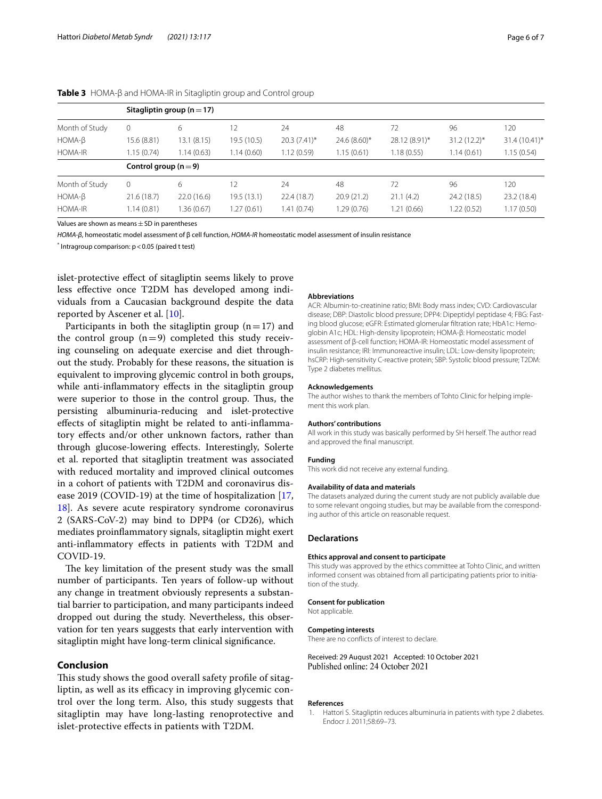|                | Sitagliptin group ( $n = 17$ ) |            |             |                |                |               |                |                 |
|----------------|--------------------------------|------------|-------------|----------------|----------------|---------------|----------------|-----------------|
| Month of Study | 0                              | 6          | 12          | 24             | 48             | 72            | 96             | 120             |
| $HOMA-B$       | 15.6 (8.81)                    | 13.1(8.15) | 19.5 (10.5) | $20.3(7.41)^*$ | $24.6(8.60)$ * | 28.12 (8.91)* | $31.2(12.2)^*$ | $31.4(10.41)^*$ |
| HOMA-IR        | 1.15(0.74)                     | 1.14(0.63) | 1.14(0.60)  | 1.12(0.59)     | 1.15(0.61)     | 1.18(0.55)    | 1.14(0.61)     | 1.15(0.54)      |
|                | Control group ( $n = 9$ )      |            |             |                |                |               |                |                 |
| Month of Study | 0                              | 6          | 12          | 24             | 48             | 72            | 96             | 120             |
| $HOMA-B$       | 21.6(18.7)                     | 22.0(16.6) | 19.5(13.1)  | 22.4(18.7)     | 20.9(21.2)     | 21.1(4.2)     | 24.2 (18.5)    | 23.2 (18.4)     |
| <b>HOMA-IR</b> | 1.14(0.81)                     | .36(0.67)  | 1.27 (0.61) | 1.41 (0.74)    | 1.29 (0.76)    | 1.21 (0.66)   | .22(0.52)      | 1.17(0.50)      |

<span id="page-5-1"></span>**Table 3** HOMA-β and HOMA-IR in Sitagliptin group and Control group

Values are shown as means $\pm$ SD in parentheses

*HOMA-β*, homeostatic model assessment of β cell function, *HOMA-IR* homeostatic model assessment of insulin resistance

\* Intragroup comparison: p<0.05 (paired t test)

islet-protective efect of sitagliptin seems likely to prove less efective once T2DM has developed among individuals from a Caucasian background despite the data reported by Ascener et al. [\[10\]](#page-6-7).

Participants in both the sitagliptin group  $(n=17)$  and the control group  $(n=9)$  completed this study receiving counseling on adequate exercise and diet throughout the study. Probably for these reasons, the situation is equivalent to improving glycemic control in both groups, while anti-inflammatory effects in the sitagliptin group were superior to those in the control group. Thus, the persisting albuminuria-reducing and islet-protective efects of sitagliptin might be related to anti-infammatory efects and/or other unknown factors, rather than through glucose-lowering efects. Interestingly, Solerte et al. reported that sitagliptin treatment was associated with reduced mortality and improved clinical outcomes in a cohort of patients with T2DM and coronavirus disease 2019 (COVID-19) at the time of hospitalization [\[17](#page-6-12), [18\]](#page-6-13). As severe acute respiratory syndrome coronavirus 2 (SARS-CoV-2) may bind to DPP4 (or CD26), which mediates proinfammatory signals, sitagliptin might exert anti-infammatory efects in patients with T2DM and COVID-19.

The key limitation of the present study was the small number of participants. Ten years of follow-up without any change in treatment obviously represents a substantial barrier to participation, and many participants indeed dropped out during the study. Nevertheless, this observation for ten years suggests that early intervention with sitagliptin might have long-term clinical signifcance.

# **Conclusion**

This study shows the good overall safety profile of sitagliptin, as well as its efficacy in improving glycemic control over the long term. Also, this study suggests that sitagliptin may have long-lasting renoprotective and islet-protective efects in patients with T2DM.

#### **Abbreviations**

ACR: Albumin-to-creatinine ratio; BMI: Body mass index; CVD: Cardiovascular disease; DBP: Diastolic blood pressure; DPP4: Dipeptidyl peptidase 4; FBG: Fasting blood glucose; eGFR: Estimated glomerular fltration rate; HbA1c: Hemoglobin A1c; HDL: High-density lipoprotein; HOMA-β: Homeostatic model assessment of β-cell function; HOMA-IR: Homeostatic model assessment of insulin resistance; IRI: Immunoreactive insulin; LDL: Low-density lipoprotein; hsCRP: High-sensitivity C-reactive protein; SBP: Systolic blood pressure; T2DM: Type 2 diabetes mellitus.

#### **Acknowledgements**

The author wishes to thank the members of Tohto Clinic for helping implement this work plan.

#### **Authors' contributions**

All work in this study was basically performed by SH herself. The author read and approved the fnal manuscript.

#### **Funding**

This work did not receive any external funding.

#### **Availability of data and materials**

The datasets analyzed during the current study are not publicly available due to some relevant ongoing studies, but may be available from the corresponding author of this article on reasonable request.

### **Declarations**

### **Ethics approval and consent to participate**

This study was approved by the ethics committee at Tohto Clinic, and written informed consent was obtained from all participating patients prior to initiation of the study.

#### **Consent for publication**

Not applicable.

#### **Competing interests**

There are no conficts of interest to declare.

# Received: 29 August 2021 Accepted: 10 October 2021

# **References**

<span id="page-5-0"></span>1. Hattori S. Sitagliptin reduces albuminuria in patients with type 2 diabetes. Endocr J. 2011;58:69–73.